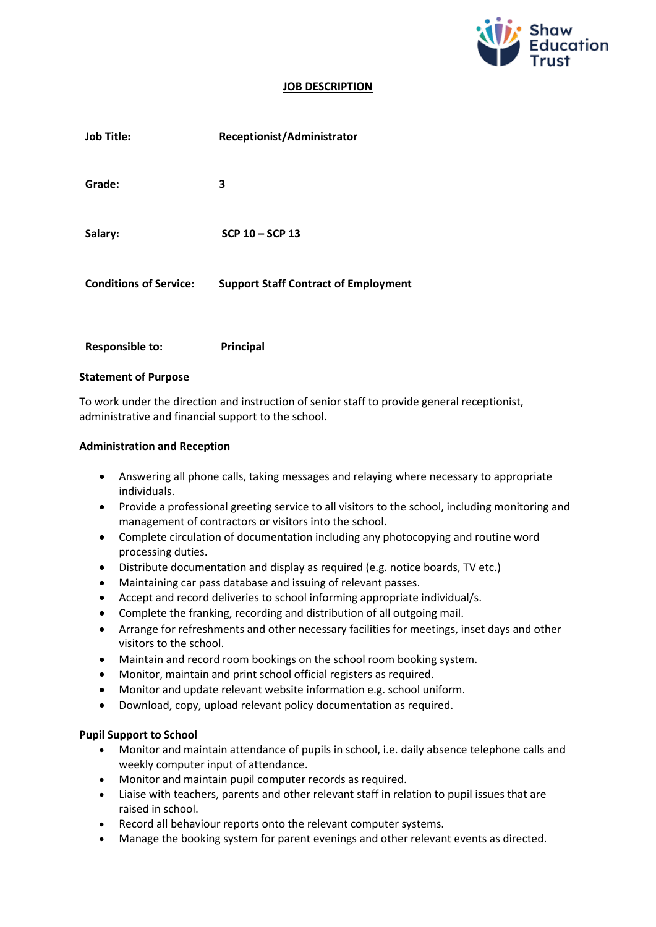

#### **JOB DESCRIPTION**

| <b>Job Title:</b>             | Receptionist/Administrator                  |
|-------------------------------|---------------------------------------------|
| Grade:                        | 3                                           |
| Salary:                       | SCP 10 - SCP 13                             |
| <b>Conditions of Service:</b> | <b>Support Staff Contract of Employment</b> |
| <b>Responsible to:</b>        | Principal                                   |

# **Statement of Purpose**

To work under the direction and instruction of senior staff to provide general receptionist, administrative and financial support to the school.

#### **Administration and Reception**

- Answering all phone calls, taking messages and relaying where necessary to appropriate individuals.
- Provide a professional greeting service to all visitors to the school, including monitoring and management of contractors or visitors into the school.
- Complete circulation of documentation including any photocopying and routine word processing duties.
- Distribute documentation and display as required (e.g. notice boards, TV etc.)
- Maintaining car pass database and issuing of relevant passes.
- Accept and record deliveries to school informing appropriate individual/s.
- Complete the franking, recording and distribution of all outgoing mail.
- Arrange for refreshments and other necessary facilities for meetings, inset days and other visitors to the school.
- Maintain and record room bookings on the school room booking system.
- Monitor, maintain and print school official registers as required.
- Monitor and update relevant website information e.g. school uniform.
- Download, copy, upload relevant policy documentation as required.

# **Pupil Support to School**

- Monitor and maintain attendance of pupils in school, i.e. daily absence telephone calls and weekly computer input of attendance.
- Monitor and maintain pupil computer records as required.
- Liaise with teachers, parents and other relevant staff in relation to pupil issues that are raised in school.
- Record all behaviour reports onto the relevant computer systems.
- Manage the booking system for parent evenings and other relevant events as directed.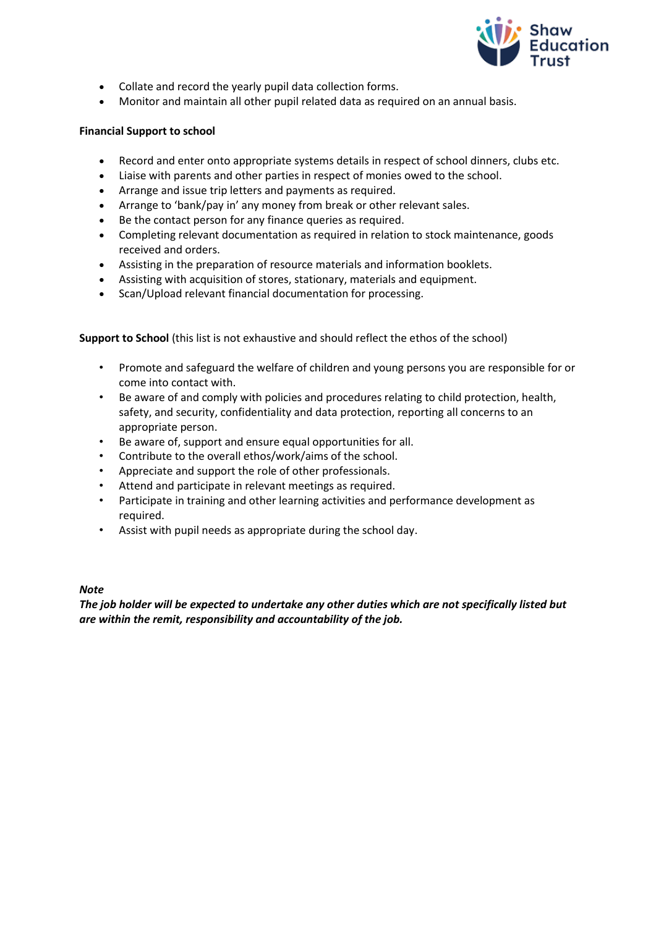

- Collate and record the yearly pupil data collection forms.
- Monitor and maintain all other pupil related data as required on an annual basis.

# **Financial Support to school**

- Record and enter onto appropriate systems details in respect of school dinners, clubs etc.
- Liaise with parents and other parties in respect of monies owed to the school.
- Arrange and issue trip letters and payments as required.
- Arrange to 'bank/pay in' any money from break or other relevant sales.
- Be the contact person for any finance queries as required.
- Completing relevant documentation as required in relation to stock maintenance, goods received and orders.
- Assisting in the preparation of resource materials and information booklets.
- Assisting with acquisition of stores, stationary, materials and equipment.
- Scan/Upload relevant financial documentation for processing.

**Support to School** (this list is not exhaustive and should reflect the ethos of the school)

- Promote and safeguard the welfare of children and young persons you are responsible for or come into contact with.
- Be aware of and comply with policies and procedures relating to child protection, health, safety, and security, confidentiality and data protection, reporting all concerns to an appropriate person.
- Be aware of, support and ensure equal opportunities for all.
- Contribute to the overall ethos/work/aims of the school.
- Appreciate and support the role of other professionals.
- Attend and participate in relevant meetings as required.
- Participate in training and other learning activities and performance development as required.
- Assist with pupil needs as appropriate during the school day.

# *Note*

*The job holder will be expected to undertake any other duties which are not specifically listed but are within the remit, responsibility and accountability of the job.*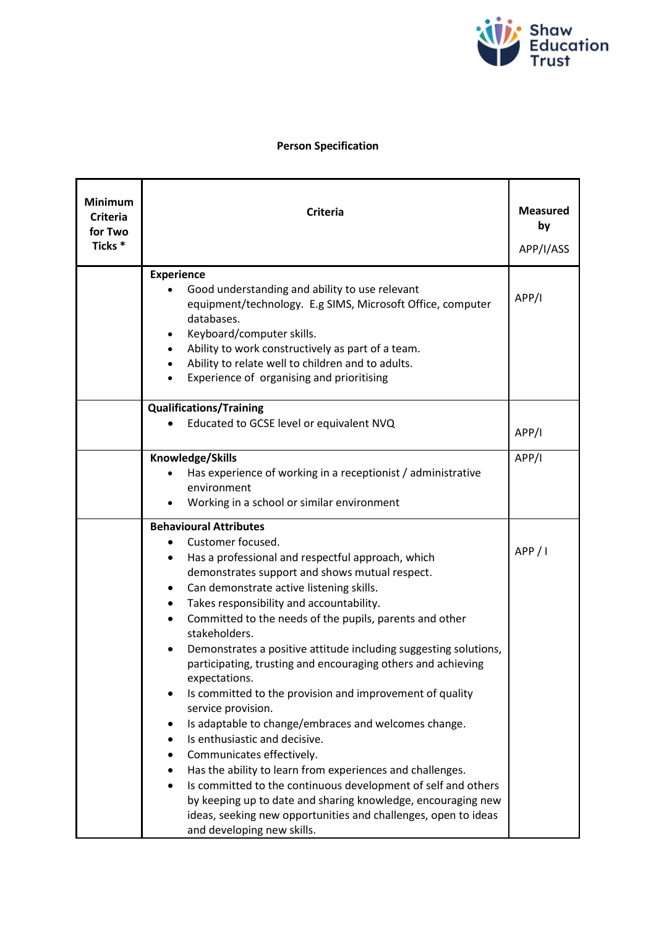

# **Person Specification**

| <b>Minimum</b><br><b>Criteria</b><br>for Two<br>Ticks * | <b>Criteria</b>                                                                                                                | <b>Measured</b><br>by<br>APP/I/ASS |
|---------------------------------------------------------|--------------------------------------------------------------------------------------------------------------------------------|------------------------------------|
|                                                         | <b>Experience</b>                                                                                                              |                                    |
|                                                         | Good understanding and ability to use relevant<br>equipment/technology. E.g SIMS, Microsoft Office, computer                   | APP/I                              |
|                                                         | databases.                                                                                                                     |                                    |
|                                                         | Keyboard/computer skills.                                                                                                      |                                    |
|                                                         | Ability to work constructively as part of a team.                                                                              |                                    |
|                                                         | Ability to relate well to children and to adults.                                                                              |                                    |
|                                                         | Experience of organising and prioritising                                                                                      |                                    |
|                                                         | <b>Qualifications/Training</b>                                                                                                 |                                    |
|                                                         | Educated to GCSE level or equivalent NVQ                                                                                       | APP/I                              |
|                                                         |                                                                                                                                |                                    |
|                                                         | Knowledge/Skills                                                                                                               | APP/I                              |
|                                                         | Has experience of working in a receptionist / administrative<br>environment                                                    |                                    |
|                                                         | Working in a school or similar environment                                                                                     |                                    |
|                                                         | <b>Behavioural Attributes</b>                                                                                                  |                                    |
|                                                         | Customer focused.                                                                                                              |                                    |
|                                                         | Has a professional and respectful approach, which                                                                              | APP/I                              |
|                                                         | demonstrates support and shows mutual respect.                                                                                 |                                    |
|                                                         | Can demonstrate active listening skills.<br>٠                                                                                  |                                    |
|                                                         | Takes responsibility and accountability.<br>$\bullet$                                                                          |                                    |
|                                                         | Committed to the needs of the pupils, parents and other<br>stakeholders.                                                       |                                    |
|                                                         | Demonstrates a positive attitude including suggesting solutions,                                                               |                                    |
|                                                         | participating, trusting and encouraging others and achieving                                                                   |                                    |
|                                                         | expectations.                                                                                                                  |                                    |
|                                                         | Is committed to the provision and improvement of quality<br>service provision.                                                 |                                    |
|                                                         | Is adaptable to change/embraces and welcomes change.                                                                           |                                    |
|                                                         | Is enthusiastic and decisive.                                                                                                  |                                    |
|                                                         | Communicates effectively.<br>٠                                                                                                 |                                    |
|                                                         | Has the ability to learn from experiences and challenges.                                                                      |                                    |
|                                                         | Is committed to the continuous development of self and others                                                                  |                                    |
|                                                         | by keeping up to date and sharing knowledge, encouraging new<br>ideas, seeking new opportunities and challenges, open to ideas |                                    |
|                                                         | and developing new skills.                                                                                                     |                                    |